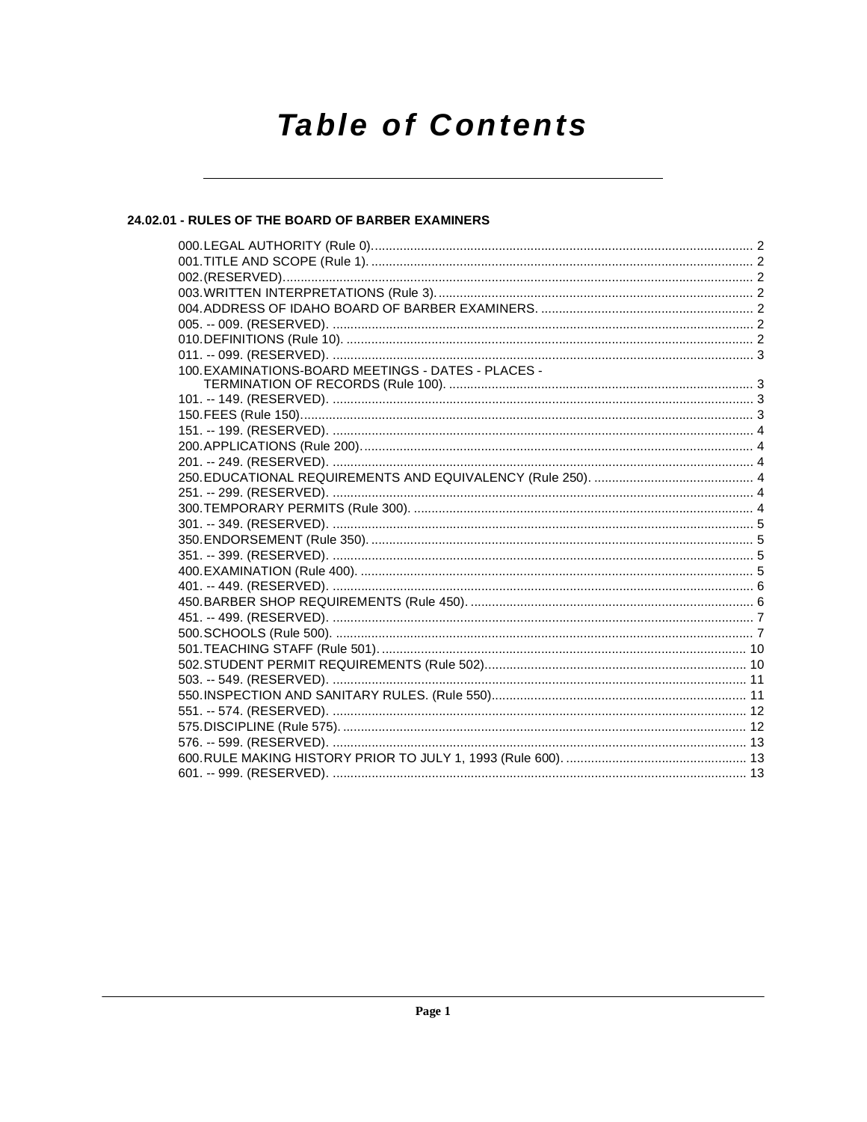# **Table of Contents**

# 24.02.01 - RULES OF THE BOARD OF BARBER EXAMINERS

| 100. EXAMINATIONS-BOARD MEETINGS - DATES - PLACES - |  |
|-----------------------------------------------------|--|
|                                                     |  |
|                                                     |  |
|                                                     |  |
|                                                     |  |
|                                                     |  |
|                                                     |  |
|                                                     |  |
|                                                     |  |
|                                                     |  |
|                                                     |  |
|                                                     |  |
|                                                     |  |
|                                                     |  |
|                                                     |  |
|                                                     |  |
|                                                     |  |
|                                                     |  |
|                                                     |  |
|                                                     |  |
|                                                     |  |
|                                                     |  |
|                                                     |  |
|                                                     |  |
|                                                     |  |
|                                                     |  |
|                                                     |  |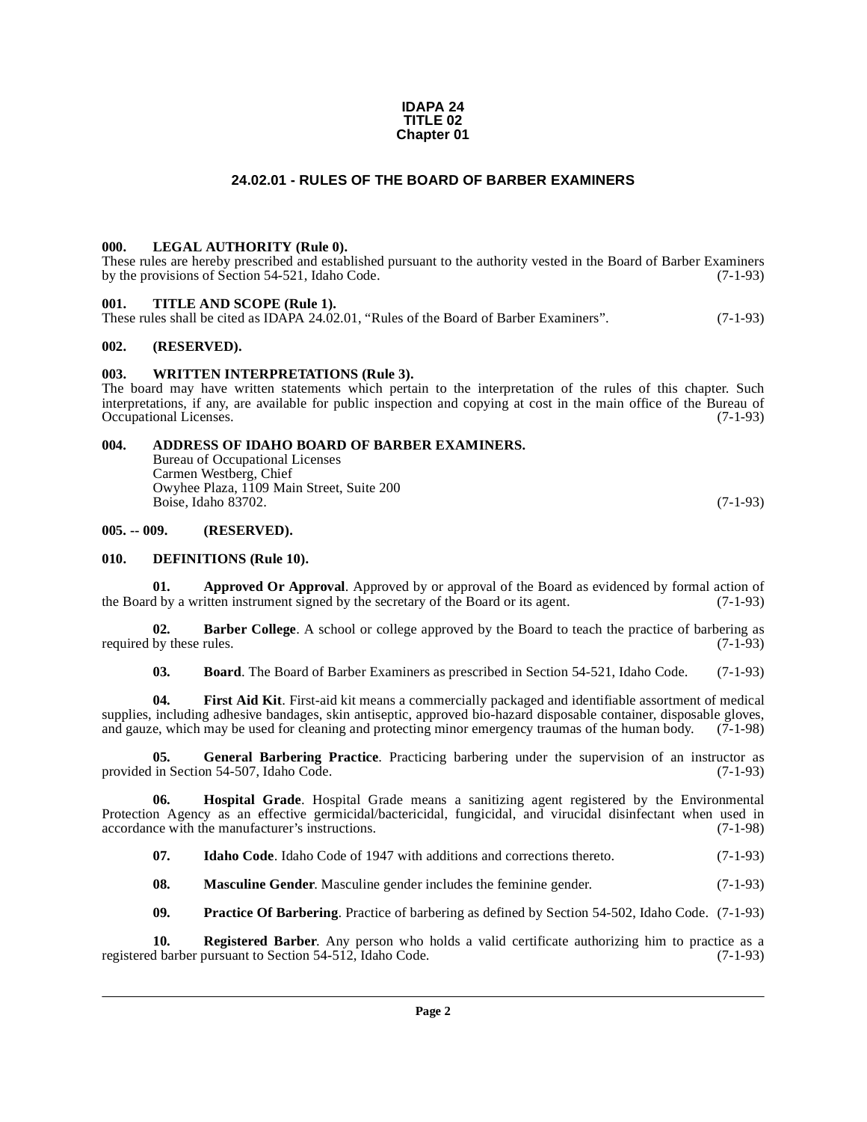#### **IDAPA 24 TITLE 02 Chapter 01**

# **24.02.01 - RULES OF THE BOARD OF BARBER EXAMINERS**

# <span id="page-1-1"></span><span id="page-1-0"></span>**000. LEGAL AUTHORITY (Rule 0).**

These rules are hereby prescribed and established pursuant to the authority vested in the Board of Barber Examiners by the provisions of Section 54-521, Idaho Code. (7-1-93)

# <span id="page-1-2"></span>**001. TITLE AND SCOPE (Rule 1).**

These rules shall be cited as IDAPA 24.02.01, "Rules of the Board of Barber Examiners". (7-1-93)

# <span id="page-1-3"></span>**002. (RESERVED).**

# <span id="page-1-4"></span>**003. WRITTEN INTERPRETATIONS (Rule 3).**

The board may have written statements which pertain to the interpretation of the rules of this chapter. Such interpretations, if any, are available for public inspection and copying at cost in the main office of the Bureau of Occupational Licenses. (7-1-93)

# <span id="page-1-5"></span>**004. ADDRESS OF IDAHO BOARD OF BARBER EXAMINERS.**

<span id="page-1-8"></span>Bureau of Occupational Licenses Carmen Westberg, Chief Owyhee Plaza, 1109 Main Street, Suite 200 Boise, Idaho 83702. (7-1-93)

# <span id="page-1-6"></span>**005. -- 009. (RESERVED).**

# <span id="page-1-11"></span><span id="page-1-7"></span>**010. DEFINITIONS (Rule 10).**

<span id="page-1-9"></span>**01. Approved Or Approval**. Approved by or approval of the Board as evidenced by formal action of the Board by a written instrument signed by the secretary of the Board or its agent. (7-1-93)

**02. Barber College**. A school or college approved by the Board to teach the practice of barbering as required by these rules.  $(7-1-93)$ 

<span id="page-1-13"></span><span id="page-1-12"></span><span id="page-1-10"></span>**03. Board**. The Board of Barber Examiners as prescribed in Section 54-521, Idaho Code. (7-1-93)

**04. First Aid Kit**. First-aid kit means a commercially packaged and identifiable assortment of medical supplies, including adhesive bandages, skin antiseptic, approved bio-hazard disposable container, disposable gloves, and gauze, which may be used for cleaning and protecting minor emergency traumas of the human body. (7-1-98)

**05. General Barbering Practice**. Practicing barbering under the supervision of an instructor as in Section 54-507 Idaho Code. (7-1-93) provided in Section 54-507, Idaho Code.

**06. Hospital Grade**. Hospital Grade means a sanitizing agent registered by the Environmental Protection Agency as an effective germicidal/bactericidal, fungicidal, and virucidal disinfectant when used in accordance with the manufacturer's instructions. (7-1-98)

<span id="page-1-15"></span><span id="page-1-14"></span>**07.** Idaho Code. Idaho Code of 1947 with additions and corrections thereto.  $(7-1-93)$ 

<span id="page-1-16"></span>**08. Masculine Gender**. Masculine gender includes the feminine gender. (7-1-93)

<span id="page-1-18"></span><span id="page-1-17"></span>**09. Practice Of Barbering**. Practice of barbering as defined by Section 54-502, Idaho Code. (7-1-93)

**10. Registered Barber**. Any person who holds a valid certificate authorizing him to practice as a d barber pursuant to Section 54-512, Idaho Code. (7-1-93) registered barber pursuant to Section 54-512, Idaho Code.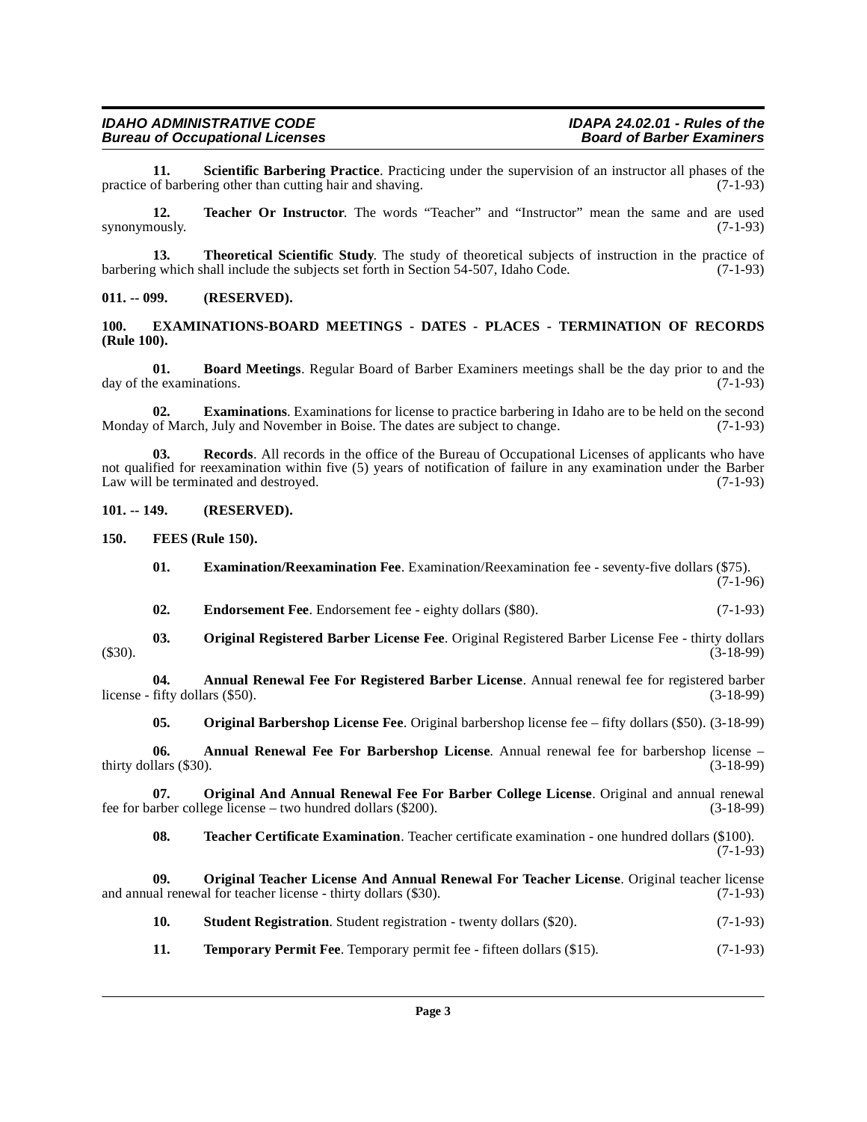<span id="page-2-17"></span>**11.** Scientific Barbering Practice. Practicing under the supervision of an instructor all phases of the of barbering other than cutting hair and shaving. (7-1-93) practice of barbering other than cutting hair and shaving.

<span id="page-2-20"></span>**12. Teacher Or Instructor**. The words "Teacher" and "Instructor" mean the same and are used synonymously.  $(7-1-93)$ 

<span id="page-2-22"></span>**13. Theoretical Scientific Study**. The study of theoretical subjects of instruction in the practice of barbering which shall include the subjects set forth in Section 54-507, Idaho Code. (7-1-93)

# <span id="page-2-0"></span>**011. -- 099. (RESERVED).**

# <span id="page-2-9"></span><span id="page-2-1"></span>**100. EXAMINATIONS-BOARD MEETINGS - DATES - PLACES - TERMINATION OF RECORDS (Rule 100).**

<span id="page-2-6"></span>**01. Board Meetings**. Regular Board of Barber Examiners meetings shall be the day prior to and the day of the examinations. (7-1-93)

<span id="page-2-10"></span>**02. Examinations**. Examinations for license to practice barbering in Idaho are to be held on the second Monday of March, July and November in Boise. The dates are subject to change. (7-1-93)

<span id="page-2-16"></span>**03. Records**. All records in the office of the Bureau of Occupational Licenses of applicants who have not qualified for reexamination within five (5) years of notification of failure in any examination under the Barber Law will be terminated and destroyed. (7-1-93)

<span id="page-2-2"></span>**101. -- 149. (RESERVED).**

<span id="page-2-3"></span>**150. FEES (Rule 150).**

- <span id="page-2-11"></span><span id="page-2-8"></span>**01. Examination/Reexamination Fee**. Examination/Reexamination fee - seventy-five dollars (\$75). (7-1-96)
- <span id="page-2-14"></span><span id="page-2-7"></span>**02. Endorsement Fee**. Endorsement fee - eighty dollars (\$80). (7-1-93)
- **03. Original Registered Barber License Fee**. Original Registered Barber License Fee thirty dollars (\$30). (3-18-99)

**04. Annual Renewal Fee For Registered Barber License**. Annual renewal fee for registered barber  $license - fifty dollars ($50).$  (3-18-99)

<span id="page-2-13"></span><span id="page-2-5"></span><span id="page-2-4"></span>**05. Original Barbershop License Fee**. Original barbershop license fee – fifty dollars (\$50). (3-18-99)

**06. Annual Renewal Fee For Barbershop License**. Annual renewal fee for barbershop license – thirty dollars (\$30). (3-18-99)

**07. Original And Annual Renewal Fee For Barber College License**. Original and annual renewal arber college license – two hundred dollars (\$200). (3-18-99) fee for barber college license – two hundred dollars  $(\$200)$ .

<span id="page-2-19"></span><span id="page-2-15"></span><span id="page-2-12"></span>**08. Teacher Certificate Examination**. Teacher certificate examination - one hundred dollars (\$100). (7-1-93)

**09. Original Teacher License And Annual Renewal For Teacher License**. Original teacher license and annual renewal for teacher license - thirty dollars (\$30). (7-1-93)

- <span id="page-2-18"></span>**10. Student Registration**. Student registration - twenty dollars (\$20). (7-1-93)
- <span id="page-2-21"></span>**11. Temporary Permit Fee**. Temporary permit fee - fifteen dollars (\$15). (7-1-93)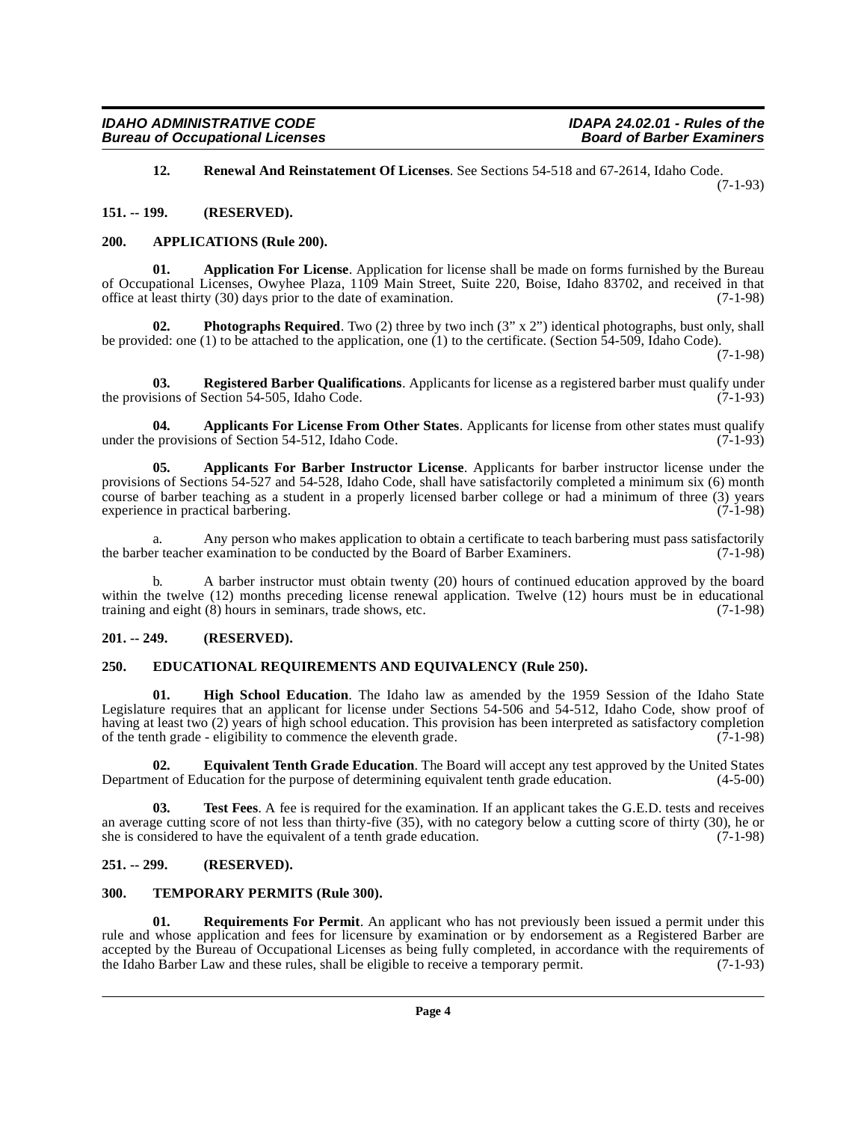<span id="page-3-15"></span><span id="page-3-8"></span>**12. Renewal And Reinstatement Of Licenses**. See Sections 54-518 and 67-2614, Idaho Code. (7-1-93)

<span id="page-3-0"></span>**151. -- 199. (RESERVED).**

# <span id="page-3-9"></span><span id="page-3-1"></span>**200. APPLICATIONS (Rule 200).**

**01. Application For License**. Application for license shall be made on forms furnished by the Bureau of Occupational Licenses, Owyhee Plaza, 1109 Main Street, Suite 220, Boise, Idaho 83702, and received in that office at least thirty (30) days prior to the date of examination. (7-1-98)

<span id="page-3-13"></span>**Photographs Required**. Two (2) three by two inch (3" x 2") identical photographs, bust only, shall be provided: one (1) to be attached to the application, one (1) to the certificate. (Section 54-509, Idaho Code).

(7-1-98)

<span id="page-3-14"></span>**03.** Registered Barber Qualifications. Applicants for license as a registered barber must qualify under sions of Section 54-505, Idaho Code. (7-1-93) the provisions of Section 54-505, Idaho Code.

<span id="page-3-7"></span>**04.** Applicants For License From Other States. Applicants for license from other states must qualify provisions of Section 54-512. Idaho Code. (7-1-93) under the provisions of Section  $54-512$ , Idaho Code.

<span id="page-3-6"></span>**05. Applicants For Barber Instructor License**. Applicants for barber instructor license under the provisions of Sections 54-527 and 54-528, Idaho Code, shall have satisfactorily completed a minimum six (6) month course of barber teaching as a student in a properly licensed barber college or had a minimum of three (3) years experience in practical barbering. (7-1-98)

a. Any person who makes application to obtain a certificate to teach barbering must pass satisfactorily<br>er teacher examination to be conducted by the Board of Barber Examiners. (7-1-98) the barber teacher examination to be conducted by the Board of Barber Examiners.

b. A barber instructor must obtain twenty (20) hours of continued education approved by the board within the twelve (12) months preceding license renewal application. Twelve (12) hours must be in educational training and eight (8) hours in seminars, trade shows, etc. (7-1-98)

# <span id="page-3-2"></span>**201. -- 249. (RESERVED).**

# <span id="page-3-10"></span><span id="page-3-3"></span>**250. EDUCATIONAL REQUIREMENTS AND EQUIVALENCY (Rule 250).**

<span id="page-3-12"></span>**01. High School Education**. The Idaho law as amended by the 1959 Session of the Idaho State Legislature requires that an applicant for license under Sections 54-506 and 54-512, Idaho Code, show proof of having at least two (2) years of high school education. This provision has been interpreted as satisfactory completion of the tenth grade - eligibility to commence the eleventh grade.  $(7-1-98)$ 

<span id="page-3-11"></span>**02. Equivalent Tenth Grade Education**. The Board will accept any test approved by the United States ent of Education for the purpose of determining equivalent tenth grade education. (4-5-00) Department of Education for the purpose of determining equivalent tenth grade education.

<span id="page-3-18"></span>**03. Test Fees**. A fee is required for the examination. If an applicant takes the G.E.D. tests and receives an average cutting score of not less than thirty-five (35), with no category below a cutting score of thirty (30), he or she is considered to have the equivalent of a tenth grade education. (7-1-98)

# <span id="page-3-4"></span>**251. -- 299. (RESERVED).**

# <span id="page-3-17"></span><span id="page-3-5"></span>**300. TEMPORARY PERMITS (Rule 300).**

<span id="page-3-16"></span>**01. Requirements For Permit**. An applicant who has not previously been issued a permit under this rule and whose application and fees for licensure by examination or by endorsement as a Registered Barber are accepted by the Bureau of Occupational Licenses as being fully completed, in accordance with the requirements of the Idaho Barber Law and these rules, shall be eligible to receive a temporary permit. (7-1-93) the Idaho Barber Law and these rules, shall be eligible to receive a temporary permit.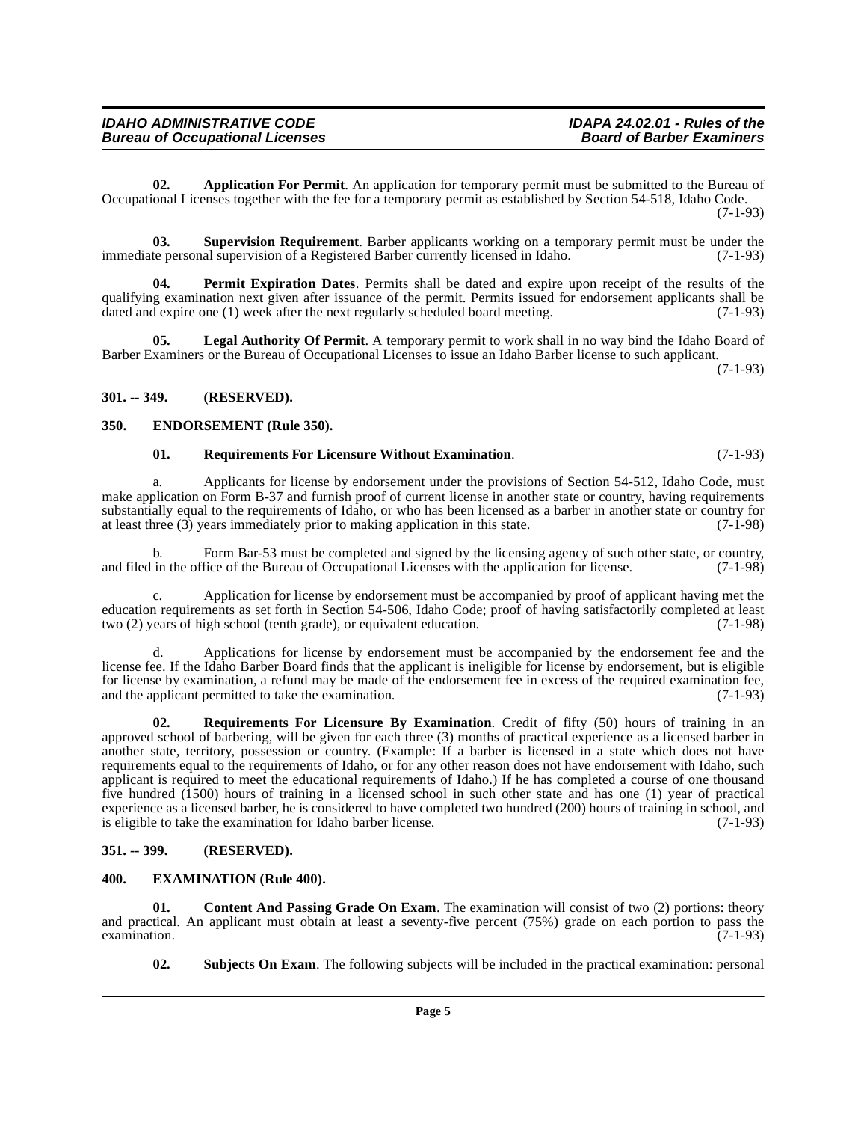<span id="page-4-4"></span>**02. Application For Permit**. An application for temporary permit must be submitted to the Bureau of Occupational Licenses together with the fee for a temporary permit as established by Section 54-518, Idaho Code. (7-1-93)

<span id="page-4-13"></span>**03. Supervision Requirement**. Barber applicants working on a temporary permit must be under the teneration of a Registered Barber currently licensed in Idaho. (7-1-93) immediate personal supervision of a Registered Barber currently licensed in Idaho.

<span id="page-4-9"></span>**04. Permit Expiration Dates**. Permits shall be dated and expire upon receipt of the results of the qualifying examination next given after issuance of the permit. Permits issued for endorsement applicants shall be dated and expire one (1) week after the next regularly scheduled board meeting. (7-1-93)

<span id="page-4-8"></span>**05. Legal Authority Of Permit**. A temporary permit to work shall in no way bind the Idaho Board of Barber Examiners or the Bureau of Occupational Licenses to issue an Idaho Barber license to such applicant.

(7-1-93)

# <span id="page-4-0"></span>**301. -- 349. (RESERVED).**

# <span id="page-4-1"></span>**350. ENDORSEMENT (Rule 350).**

# <span id="page-4-11"></span><span id="page-4-6"></span>**01. Requirements For Licensure Without Examination**. (7-1-93)

a. Applicants for license by endorsement under the provisions of Section 54-512, Idaho Code, must make application on Form B-37 and furnish proof of current license in another state or country, having requirements substantially equal to the requirements of Idaho, or who has been licensed as a barber in another state or country for at least three (3) years immediately prior to making application in this state. (7-1-98) at least three  $(3)$  years immediately prior to making application in this state.

b. Form Bar-53 must be completed and signed by the licensing agency of such other state, or country, in the office of the Bureau of Occupational Licenses with the application for license. (7-1-98) and filed in the office of the Bureau of Occupational Licenses with the application for license.

c. Application for license by endorsement must be accompanied by proof of applicant having met the education requirements as set forth in Section 54-506, Idaho Code; proof of having satisfactorily completed at least two (2) years of high school (tenth grade), or equivalent education. (7-1-98)

d. Applications for license by endorsement must be accompanied by the endorsement fee and the license fee. If the Idaho Barber Board finds that the applicant is ineligible for license by endorsement, but is eligible for license by examination, a refund may be made of the endorsement fee in excess of the required examination fee, and the applicant permitted to take the examination. (7-1-93)

<span id="page-4-10"></span>**02. Requirements For Licensure By Examination**. Credit of fifty (50) hours of training in an approved school of barbering, will be given for each three (3) months of practical experience as a licensed barber in another state, territory, possession or country. (Example: If a barber is licensed in a state which does not have requirements equal to the requirements of Idaho, or for any other reason does not have endorsement with Idaho, such applicant is required to meet the educational requirements of Idaho.) If he has completed a course of one thousand five hundred (1500) hours of training in a licensed school in such other state and has one (1) year of practical experience as a licensed barber, he is considered to have completed two hundred (200) hours of training in school, and is eligible to take the examination for Idaho barber license. (7-1-93)

# <span id="page-4-2"></span>**351. -- 399. (RESERVED).**

# <span id="page-4-7"></span><span id="page-4-3"></span>**400. EXAMINATION (Rule 400).**

**01.** Content And Passing Grade On Exam. The examination will consist of two (2) portions: theory and practical. An applicant must obtain at least a seventy-five percent  $(75%)$  grade on each portion to pass the examination.  $(7-1-93)$  $\alpha$  examination. (7-1-93)

<span id="page-4-12"></span><span id="page-4-5"></span>**02. Subjects On Exam**. The following subjects will be included in the practical examination: personal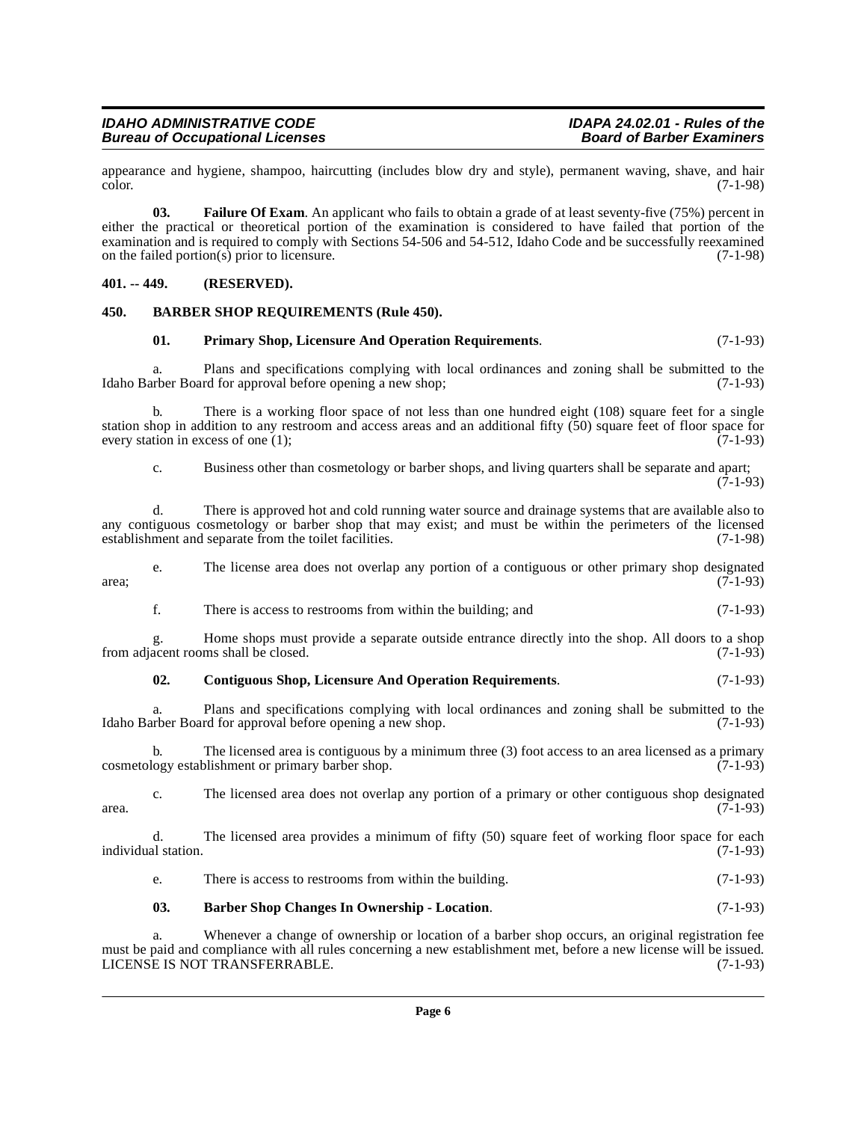appearance and hygiene, shampoo, haircutting (includes blow dry and style), permanent waving, shave, and hair color. (7-1-98)  $\mu$  (7-1-98)  $(7-1-98)$ 

<span id="page-5-5"></span>**03. Failure Of Exam**. An applicant who fails to obtain a grade of at least seventy-five (75%) percent in either the practical or theoretical portion of the examination is considered to have failed that portion of the examination and is required to comply with Sections 54-506 and 54-512, Idaho Code and be successfully reexamined<br>on the failed portion(s) prior to licensure. on the failed portion(s) prior to licensure.

# <span id="page-5-0"></span>**401. -- 449. (RESERVED).**

# <span id="page-5-1"></span>**450. BARBER SHOP REQUIREMENTS (Rule 450).**

# <span id="page-5-6"></span><span id="page-5-3"></span>**01. Primary Shop, Licensure And Operation Requirements**. (7-1-93)

Plans and specifications complying with local ordinances and zoning shall be submitted to the Idaho Barber Board for approval before opening a new shop; (7-1-93)

b. There is a working floor space of not less than one hundred eight (108) square feet for a single station shop in addition to any restroom and access areas and an additional fifty (50) square feet of floor space for every station in excess of one  $(1)$ ; (7-1-93)

c. Business other than cosmetology or barber shops, and living quarters shall be separate and apart;  $(7-1-93)$ 

d. There is approved hot and cold running water source and drainage systems that are available also to any contiguous cosmetology or barber shop that may exist; and must be within the perimeters of the licensed establishment and separate from the toilet facilities. (7-1-98) establishment and separate from the toilet facilities.

e. The license area does not overlap any portion of a contiguous or other primary shop designated  $\alpha$  area;  $(7-1-93)$ 

f. There is access to restrooms from within the building; and (7-1-93)

g. Home shops must provide a separate outside entrance directly into the shop. All doors to a shop acent rooms shall be closed. (7-1-93) from adjacent rooms shall be closed.

# <span id="page-5-4"></span>**02. Contiguous Shop, Licensure And Operation Requirements**. (7-1-93)

a. Plans and specifications complying with local ordinances and zoning shall be submitted to the urber Board for approval before opening a new shop. (7-1-93) Idaho Barber Board for approval before opening a new shop.

b. The licensed area is contiguous by a minimum three (3) foot access to an area licensed as a primary cosmetology establishment or primary barber shop. (7-1-93)

c. The licensed area does not overlap any portion of a primary or other contiguous shop designated (7-1-93)  $\alpha$  area. (7-1-93)

d. The licensed area provides a minimum of fifty (50) square feet of working floor space for each individual station. (7-1-93)

e. There is access to restrooms from within the building. (7-1-93)

# <span id="page-5-2"></span>**03. Barber Shop Changes In Ownership - Location**. (7-1-93)

a. Whenever a change of ownership or location of a barber shop occurs, an original registration fee must be paid and compliance with all rules concerning a new establishment met, before a new license will be issued.<br>LICENSE IS NOT TRANSFERRABLE. (7-1-93) LICENSE IS NOT TRANSFERRABLE.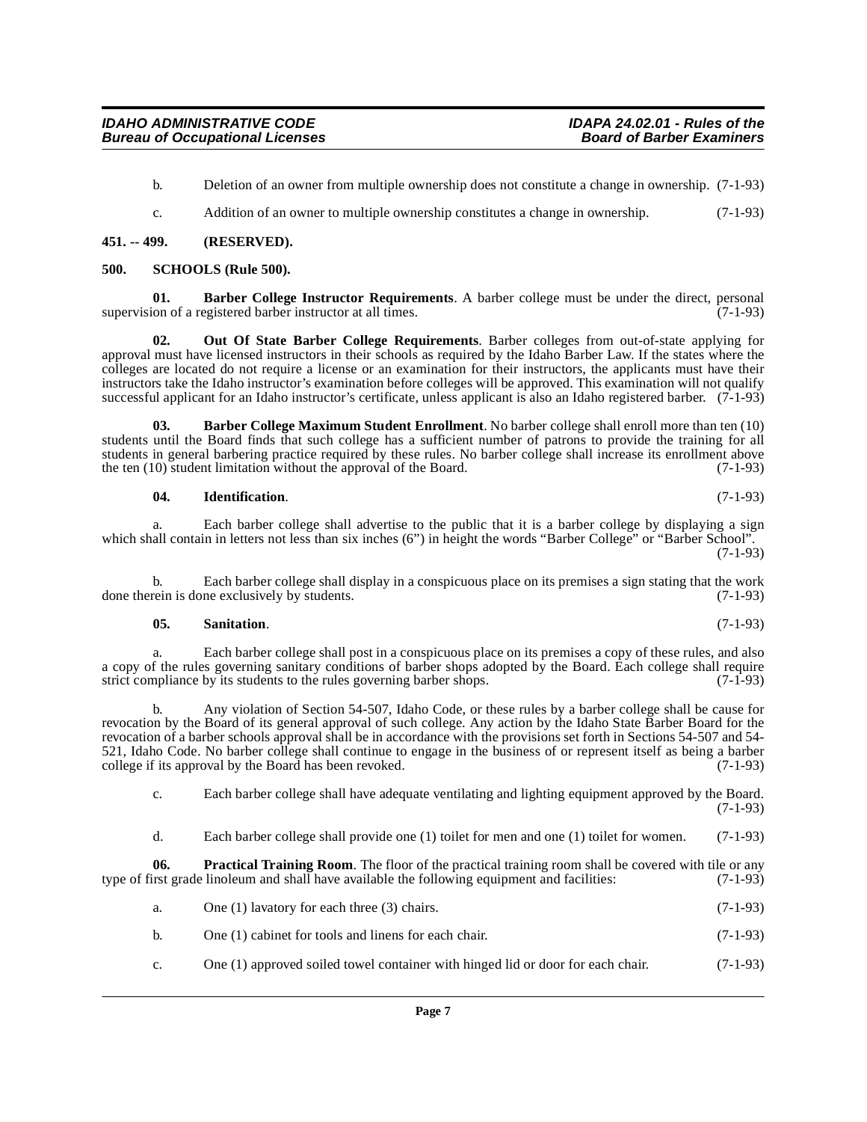b. Deletion of an owner from multiple ownership does not constitute a change in ownership. (7-1-93)

<span id="page-6-8"></span><span id="page-6-2"></span>c. Addition of an owner to multiple ownership constitutes a change in ownership. (7-1-93)

# <span id="page-6-0"></span>**451. -- 499. (RESERVED).**

#### <span id="page-6-1"></span>**500. SCHOOLS (Rule 500).**

**01. Barber College Instructor Requirements**. A barber college must be under the direct, personal ion of a registered barber instructor at all times. (7-1-93) supervision of a registered barber instructor at all times.

<span id="page-6-5"></span>**02. Out Of State Barber College Requirements**. Barber colleges from out-of-state applying for approval must have licensed instructors in their schools as required by the Idaho Barber Law. If the states where the colleges are located do not require a license or an examination for their instructors, the applicants must have their instructors take the Idaho instructor's examination before colleges will be approved. This examination will not qualify successful applicant for an Idaho instructor's certificate, unless applicant is also an Idaho registered barber. (7-1-93)

**03. Barber College Maximum Student Enrollment**. No barber college shall enroll more than ten (10) students until the Board finds that such college has a sufficient number of patrons to provide the training for all students in general barbering practice required by these rules. No barber college shall increase its enrollment above<br>the ten (10) student limitation without the approval of the Board. (7-1-93) the ten  $(10)$  student limitation without the approval of the Board.

#### <span id="page-6-4"></span><span id="page-6-3"></span>**04. Identification**. (7-1-93)

a. Each barber college shall advertise to the public that it is a barber college by displaying a sign which shall contain in letters not less than six inches (6") in height the words "Barber College" or "Barber School". (7-1-93)

b. Each barber college shall display in a conspicuous place on its premises a sign stating that the work rein is done exclusively by students. (7-1-93) done therein is done exclusively by students.

#### <span id="page-6-7"></span>**05. Sanitation**. (7-1-93)

a. Each barber college shall post in a conspicuous place on its premises a copy of these rules, and also a copy of the rules governing sanitary conditions of barber shops adopted by the Board. Each college shall require strict compliance by its students to the rules governing barber shops. (7-1-93) strict compliance by its students to the rules governing barber shops.

b. Any violation of Section 54-507, Idaho Code, or these rules by a barber college shall be cause for revocation by the Board of its general approval of such college. Any action by the Idaho State Barber Board for the revocation of a barber schools approval shall be in accordance with the provisions set forth in Sections 54-507 and 54- 521, Idaho Code. No barber college shall continue to engage in the business of or represent itself as being a barber college if its approval by the Board has been revoked. (7-1-93)

c. Each barber college shall have adequate ventilating and lighting equipment approved by the Board. (7-1-93)

<span id="page-6-6"></span>d. Each barber college shall provide one (1) toilet for men and one (1) toilet for women. (7-1-93)

**06. Practical Training Room**. The floor of the practical training room shall be covered with tile or any irst grade linoleum and shall have available the following equipment and facilities: (7-1-93) type of first grade linoleum and shall have available the following equipment and facilities:

- a. One (1) lavatory for each three (3) chairs.  $(7-1-93)$
- b. One (1) cabinet for tools and linens for each chair. (7-1-93)
- c. One (1) approved soiled towel container with hinged lid or door for each chair. (7-1-93)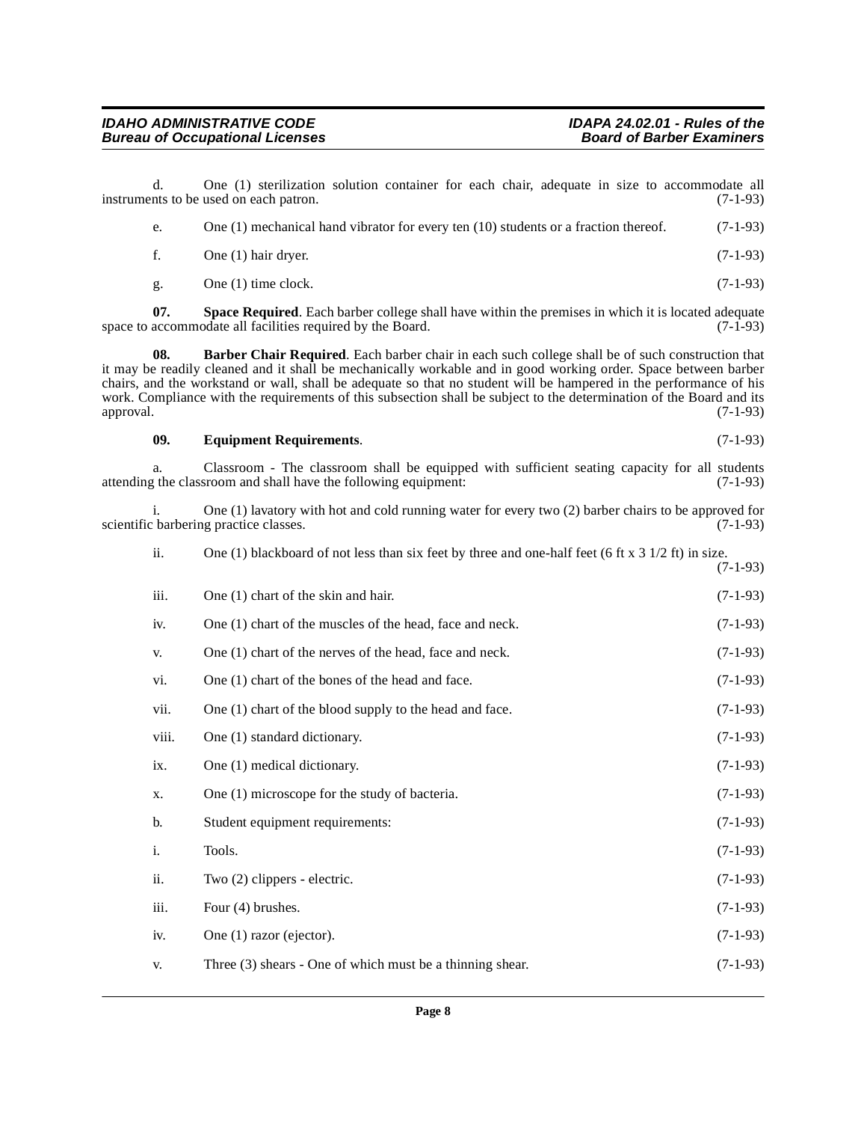d. One (1) sterilization solution container for each chair, adequate in size to accommodate all nts to be used on each patron. (7-1-93) instruments to be used on each patron.

| e. | One $(1)$ mechanical hand vibrator for every ten $(10)$ students or a fraction thereof. | $(7-1-93)$ |
|----|-----------------------------------------------------------------------------------------|------------|
|    | One (1) hair dryer.                                                                     | $(7-1-93)$ |
|    |                                                                                         |            |

<span id="page-7-2"></span><span id="page-7-0"></span>g. One (1) time clock.  $(7-1-93)$ 

**07. Space Required**. Each barber college shall have within the premises in which it is located adequate accommodate all facilities required by the Board. (7-1-93) space to accommodate all facilities required by the Board.

**08. Barber Chair Required**. Each barber chair in each such college shall be of such construction that it may be readily cleaned and it shall be mechanically workable and in good working order. Space between barber chairs, and the workstand or wall, shall be adequate so that no student will be hampered in the performance of his work. Compliance with the requirements of this subsection shall be subject to the determination of the Board and its approval. (7-1-93) approval. (7-1-93)

# <span id="page-7-1"></span>**09. Equipment Requirements**. (7-1-93)

a. Classroom - The classroom shall be equipped with sufficient seating capacity for all students (7-1-93) at the classroom and shall have the following equipment: attending the classroom and shall have the following equipment:

i. One (1) lavatory with hot and cold running water for every two (2) barber chairs to be approved for scientific barbering practice classes.

| ii.   | One (1) blackboard of not less than six feet by three and one-half feet (6 ft x $3\frac{1}{2}$ ft) in size.<br>$(7-1-93)$ |            |
|-------|---------------------------------------------------------------------------------------------------------------------------|------------|
| iii.  | One (1) chart of the skin and hair.                                                                                       | $(7-1-93)$ |
| iv.   | One (1) chart of the muscles of the head, face and neck.                                                                  | $(7-1-93)$ |
| V.    | One (1) chart of the nerves of the head, face and neck.                                                                   | $(7-1-93)$ |
| vi.   | One (1) chart of the bones of the head and face.                                                                          | $(7-1-93)$ |
| vii.  | One (1) chart of the blood supply to the head and face.                                                                   | $(7-1-93)$ |
| viii. | One (1) standard dictionary.                                                                                              | $(7-1-93)$ |
| ix.   | One (1) medical dictionary.                                                                                               | $(7-1-93)$ |
| X.    | One (1) microscope for the study of bacteria.                                                                             | $(7-1-93)$ |
| b.    | Student equipment requirements:                                                                                           | $(7-1-93)$ |
| i.    | Tools.                                                                                                                    | $(7-1-93)$ |
| ii.   | Two (2) clippers - electric.                                                                                              | $(7-1-93)$ |
| iii.  | Four (4) brushes.                                                                                                         | $(7-1-93)$ |
| iv.   | One (1) razor (ejector).                                                                                                  | $(7-1-93)$ |
| V.    | Three (3) shears - One of which must be a thinning shear.                                                                 | $(7-1-93)$ |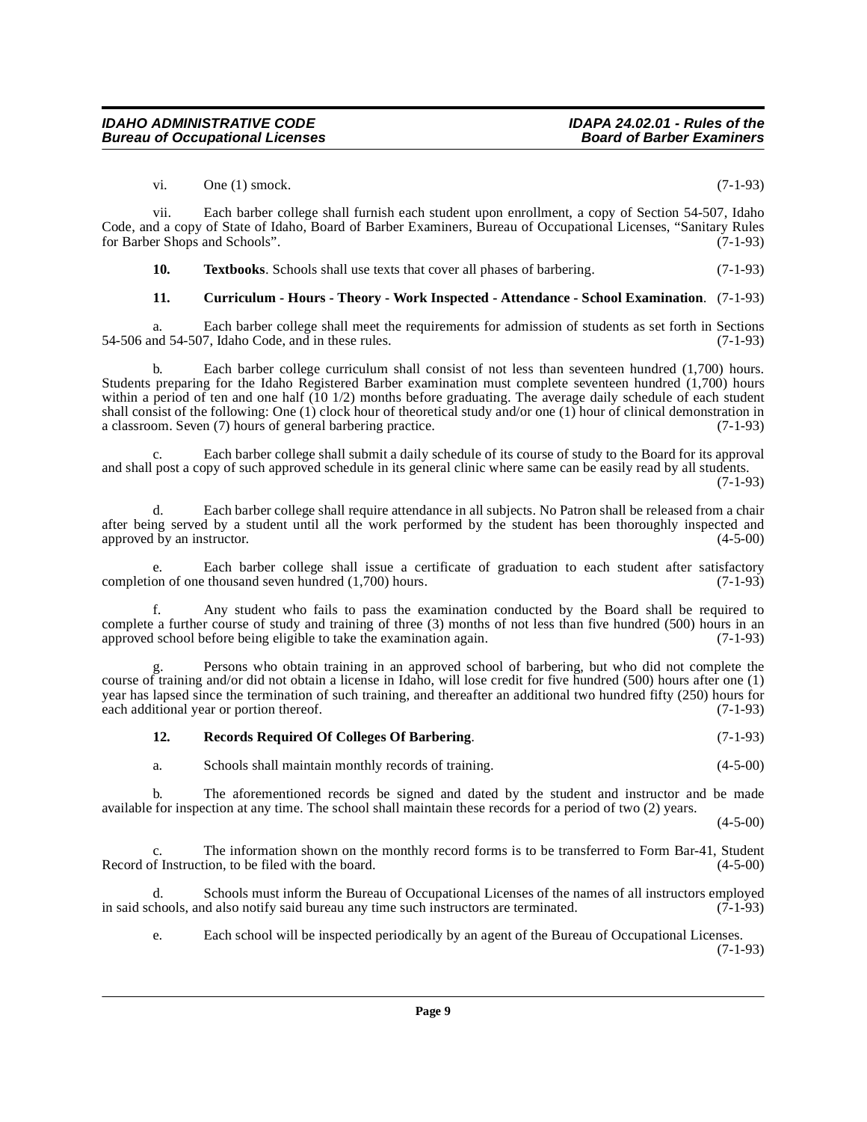**Bureau of Occupational Licenses** 

**IDAHO ADMINISTRATIVE CODE IDAPA 24.02.01 - Rules of the**

vii. Each barber college shall furnish each student upon enrollment, a copy of Section 54-507, Idaho Code, and a copy of State of Idaho, Board of Barber Examiners, Bureau of Occupational Licenses, "Sanitary Rules for Barber Shops and Schools". (7-1-93)

<span id="page-8-2"></span>**10. Textbooks**. Schools shall use texts that cover all phases of barbering. (7-1-93)

<span id="page-8-0"></span>**11. Curriculum - Hours - Theory - Work Inspected - Attendance - School Examination**. (7-1-93)

a. Each barber college shall meet the requirements for admission of students as set forth in Sections nd 54-507, Idaho Code, and in these rules. (7-1-93)  $54-506$  and  $54-507$ , Idaho Code, and in these rules.

b. Each barber college curriculum shall consist of not less than seventeen hundred (1,700) hours. Students preparing for the Idaho Registered Barber examination must complete seventeen hundred (1,700) hours within a period of ten and one half (10 1/2) months before graduating. The average daily schedule of each student shall consist of the following: One (1) clock hour of theoretical study and/or one (1) hour of clinical demonstration in a classroom. Seven (7) hours of general barbering practice. (7-1-93)

c. Each barber college shall submit a daily schedule of its course of study to the Board for its approval and shall post a copy of such approved schedule in its general clinic where same can be easily read by all students. (7-1-93)

d. Each barber college shall require attendance in all subjects. No Patron shall be released from a chair after being served by a student until all the work performed by the student has been thoroughly inspected and approved by an instructor. (4-5-00) approved by an instructor.

Each barber college shall issue a certificate of graduation to each student after satisfactory thousand seven hundred  $(1,700)$  hours.  $(7-1-93)$ completion of one thousand seven hundred  $(1,700)$  hours.

f. Any student who fails to pass the examination conducted by the Board shall be required to complete a further course of study and training of three (3) months of not less than five hundred (500) hours in an approved school before being eligible to take the examination again. (7-1-93)

g. Persons who obtain training in an approved school of barbering, but who did not complete the course of training and/or did not obtain a license in Idaho, will lose credit for five hundred (500) hours after one (1) year has lapsed since the termination of such training, and thereafter an additional two hundred fifty (250) hours for each additional year or portion thereof. (7-1-93)

# <span id="page-8-1"></span>**12. Records Required Of Colleges Of Barbering**. (7-1-93)

a. Schools shall maintain monthly records of training. (4-5-00)

b. The aforementioned records be signed and dated by the student and instructor and be made available for inspection at any time. The school shall maintain these records for a period of two (2) years.

 $(4-5-00)$ 

c. The information shown on the monthly record forms is to be transferred to Form Bar-41, Student of Instruction, to be filed with the board. (4-5-00) Record of Instruction, to be filed with the board.

d. Schools must inform the Bureau of Occupational Licenses of the names of all instructors employed in said schools, and also notify said bureau any time such instructors are terminated. (7-1-93)

e. Each school will be inspected periodically by an agent of the Bureau of Occupational Licenses. (7-1-93)

vi. One (1) smock.  $(7-1-93)$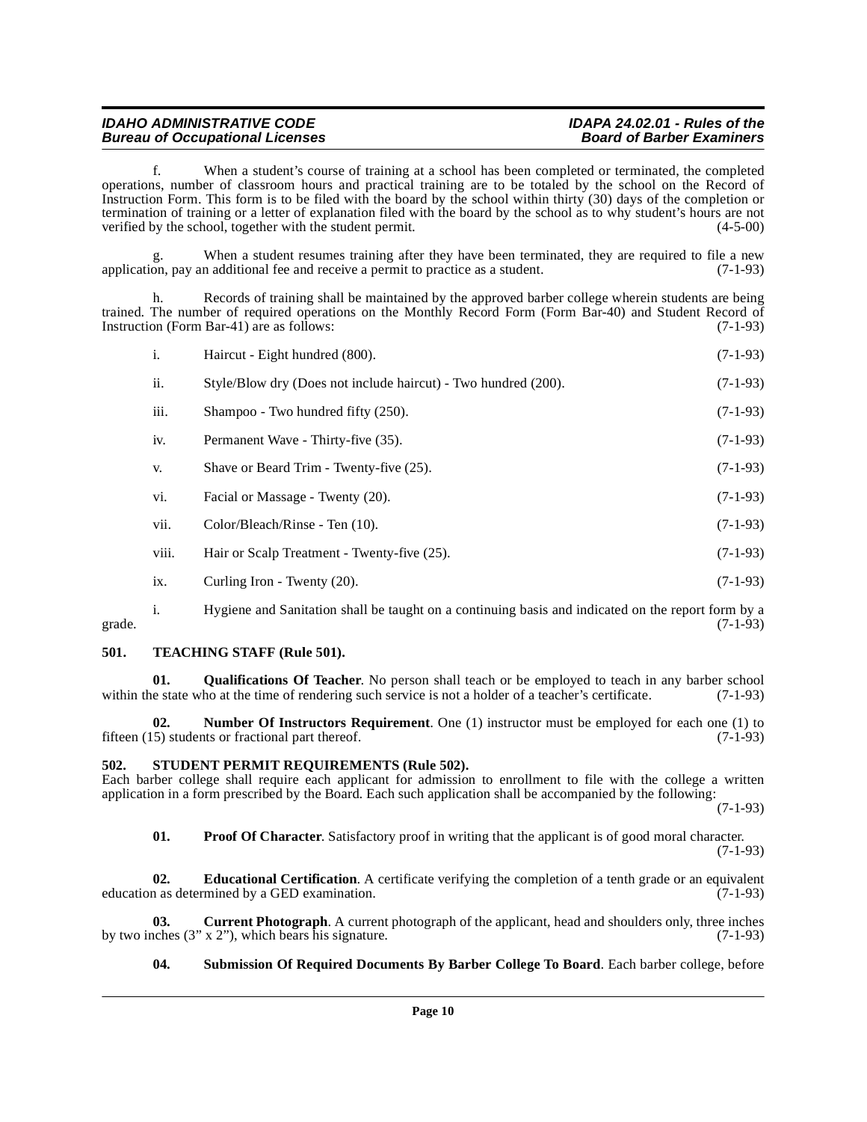f. When a student's course of training at a school has been completed or terminated, the completed operations, number of classroom hours and practical training are to be totaled by the school on the Record of Instruction Form. This form is to be filed with the board by the school within thirty (30) days of the completion or termination of training or a letter of explanation filed with the board by the school as to why student's hours are not verified by the school, together with the student permit. (4-5-00)

When a student resumes training after they have been terminated, they are required to file a new application, pay an additional fee and receive a permit to practice as a student. (7-1-93)

Records of training shall be maintained by the approved barber college wherein students are being trained. The number of required operations on the Monthly Record Form (Form Bar-40) and Student Record of Instruction (Form Bar-41) are as follows: (7-1-93) Instruction (Form Bar-41) are as follows:

| $\mathbf{i}$ . | Haircut - Eight hundred (800).                                 | $(7-1-93)$ |
|----------------|----------------------------------------------------------------|------------|
| ii.            | Style/Blow dry (Does not include haircut) - Two hundred (200). | $(7-1-93)$ |
| iii.           | Shampoo - Two hundred fifty (250).                             | $(7-1-93)$ |
| iv.            | Permanent Wave - Thirty-five (35).                             | $(7-1-93)$ |
| V.             | Shave or Beard Trim - Twenty-five (25).                        | $(7-1-93)$ |
| vi.            | Facial or Massage - Twenty (20).                               | $(7-1-93)$ |
| vii.           | Color/Bleach/Rinse - Ten (10).                                 | $(7-1-93)$ |
| viii.          | Hair or Scalp Treatment - Twenty-five (25).                    | $(7-1-93)$ |
| ix.            | Curling Iron - Twenty (20).                                    | $(7-1-93)$ |

i. Hygiene and Sanitation shall be taught on a continuing basis and indicated on the report form by a grade.  $(7-1-93)$ 

# <span id="page-9-9"></span><span id="page-9-0"></span>**501. TEACHING STAFF (Rule 501).**

<span id="page-9-6"></span>**01. Qualifications Of Teacher**. No person shall teach or be employed to teach in any barber school within the state who at the time of rendering such service is not a holder of a teacher's certificate. (7-1-93)

<span id="page-9-4"></span>**02. Number Of Instructors Requirement**. One (1) instructor must be employed for each one (1) to fifteen (15) students or fractional part thereof. (7-1-93)

# <span id="page-9-7"></span><span id="page-9-1"></span>**502. STUDENT PERMIT REQUIREMENTS (Rule 502).**

Each barber college shall require each applicant for admission to enrollment to file with the college a written application in a form prescribed by the Board. Each such application shall be accompanied by the following:

(7-1-93)

<span id="page-9-5"></span><span id="page-9-3"></span>**01.** Proof Of Character. Satisfactory proof in writing that the applicant is of good moral character. (7-1-93)

**02. Educational Certification**. A certificate verifying the completion of a tenth grade or an equivalent education as determined by a GED examination. (7-1-93)

**03.** Current Photograph. A current photograph of the applicant, head and shoulders only, three inches (3" x 2"), which bears his signature.  $(7-1-93)$ by two inches  $(3'' \times 2'')$ , which bears his signature.

# <span id="page-9-8"></span><span id="page-9-2"></span>**04. Submission Of Required Documents By Barber College To Board**. Each barber college, before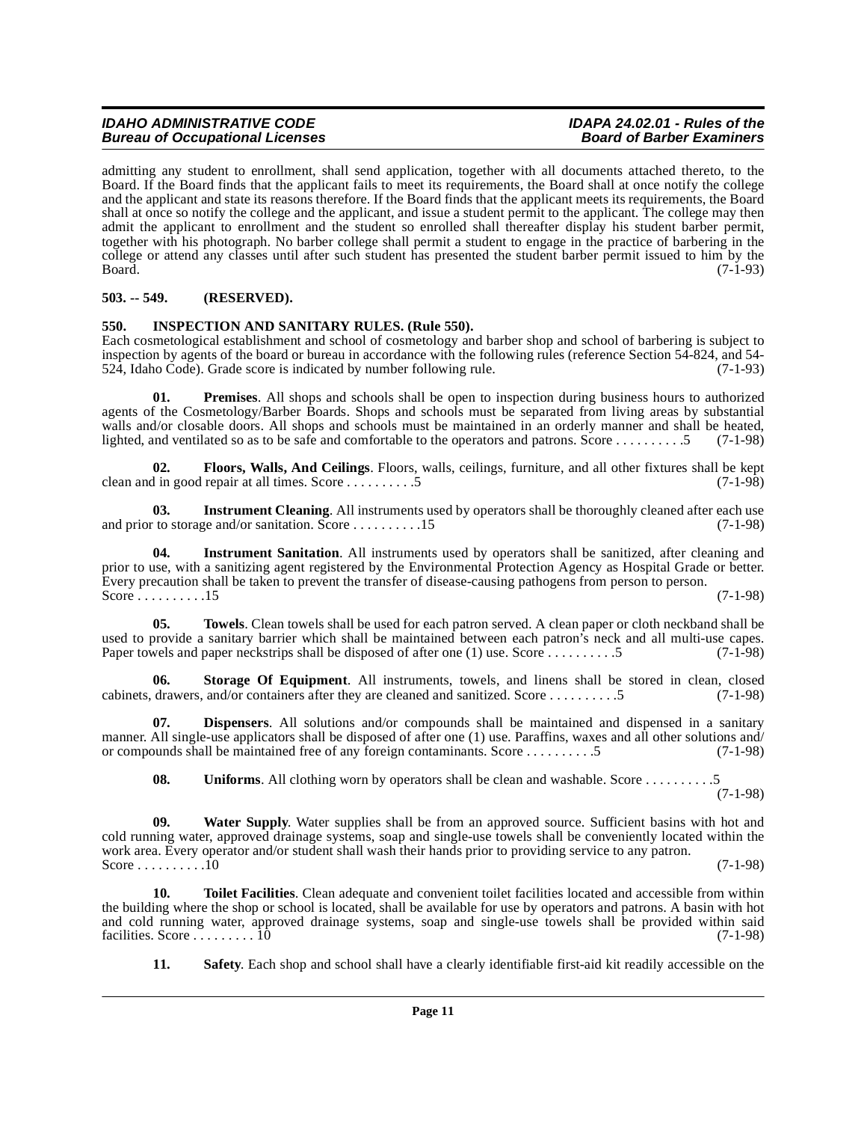admitting any student to enrollment, shall send application, together with all documents attached thereto, to the Board. If the Board finds that the applicant fails to meet its requirements, the Board shall at once notify the college and the applicant and state its reasons therefore. If the Board finds that the applicant meets its requirements, the Board shall at once so notify the college and the applicant, and issue a student permit to the applicant. The college may then admit the applicant to enrollment and the student so enrolled shall thereafter display his student barber permit, together with his photograph. No barber college shall permit a student to engage in the practice of barbering in the college or attend any classes until after such student has presented the student barber permit issued to him by the Board. (7-1-93)

# <span id="page-10-0"></span>**503. -- 549. (RESERVED).**

# <span id="page-10-2"></span><span id="page-10-1"></span>**550. INSPECTION AND SANITARY RULES. (Rule 550).**

Each cosmetological establishment and school of cosmetology and barber shop and school of barbering is subject to inspection by agents of the board or bureau in accordance with the following rules (reference Section 54-824, and 54- 524, Idaho Code). Grade score is indicated by number following rule. (7-1-93)

<span id="page-10-3"></span>**01. Premises**. All shops and schools shall be open to inspection during business hours to authorized agents of the Cosmetology/Barber Boards. Shops and schools must be separated from living areas by substantial walls and/or closable doors. All shops and schools must be maintained in an orderly manner and shall be heated, lighted, and ventilated so as to be safe and comfortable to the operators and patrons. Score . . . . . . . . . .5 (7-1-98)

**02. Floors, Walls, And Ceilings**. Floors, walls, ceilings, furniture, and all other fixtures shall be kept clean and in good repair at all times. Score . . . . . . . . . .5 (7-1-98)

**03.** Instrument Cleaning. All instruments used by operators shall be thoroughly cleaned after each use to storage and/or sanitation. Score ..........15 and prior to storage and/or sanitation. Score  $\dots \dots \dots \dots 15$ 

**04. Instrument Sanitation**. All instruments used by operators shall be sanitized, after cleaning and prior to use, with a sanitizing agent registered by the Environmental Protection Agency as Hospital Grade or better. Every precaution shall be taken to prevent the transfer of disease-causing pathogens from person to person. Score . . . . . . . . . . . 15 (7-1-98)

**05. Towels**. Clean towels shall be used for each patron served. A clean paper or cloth neckband shall be used to provide a sanitary barrier which shall be maintained between each patron's neck and all multi-use capes.<br>Paper towels and paper neckstrips shall be disposed of after one (1) use. Score ...........5 (7-1-98) Paper towels and paper neckstrips shall be disposed of after one (1) use. Score . . . . . . . . . . . . . . 5

**06. Storage Of Equipment**. All instruments, towels, and linens shall be stored in clean, closed cabinets, drawers, and/or containers after they are cleaned and sanitized. Score . . . . . . . . . .5 (7-1-98)

**07. Dispensers**. All solutions and/or compounds shall be maintained and dispensed in a sanitary manner. All single-use applicators shall be disposed of after one (1) use. Paraffins, waxes and all other solutions and/ or compounds shall be maintained free of any foreign contaminants. Score . . . . . . . . . .5 (7-1-98)

**08.** Uniforms. All clothing worn by operators shall be clean and washable. Score . . . . . . . . . . . . 5 (7-1-98)

**09. Water Supply**. Water supplies shall be from an approved source. Sufficient basins with hot and cold running water, approved drainage systems, soap and single-use towels shall be conveniently located within the work area. Every operator and/or student shall wash their hands prior to providing service to any patron. Score . . . . . . . . . .10 (7-1-98)

**10. Toilet Facilities**. Clean adequate and convenient toilet facilities located and accessible from within the building where the shop or school is located, shall be available for use by operators and patrons. A basin with hot and cold running water, approved drainage systems, soap and single-use towels shall be provided within said facilities. Score ........ 10  $(7-1-98)$ facilities. Score  $\ldots \ldots \ldots \overline{10}$ 

**11. Safety**. Each shop and school shall have a clearly identifiable first-aid kit readily accessible on the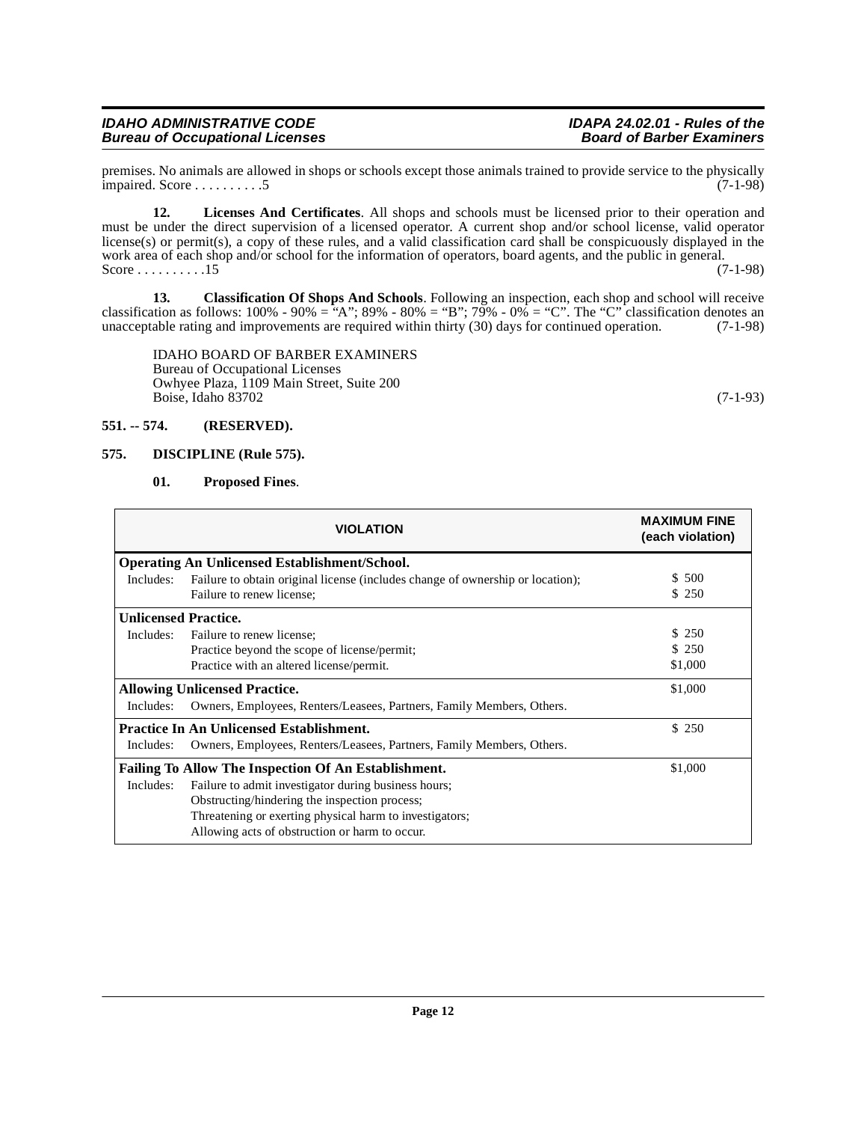# <span id="page-11-1"></span>**575. DISCIPLINE (Rule 575).**

IDAHO BOARD OF BARBER EXAMINERS

Owhyee Plaza, 1109 Main Street, Suite 200

Bureau of Occupational Licenses

# <span id="page-11-3"></span><span id="page-11-2"></span>**01. Proposed Fines**.

<span id="page-11-0"></span>**551. -- 574. (RESERVED).**

|                             | <b>VIOLATION</b>                                                                                            | <b>MAXIMUM FINE</b><br>(each violation) |  |  |
|-----------------------------|-------------------------------------------------------------------------------------------------------------|-----------------------------------------|--|--|
|                             | <b>Operating An Unlicensed Establishment/School.</b>                                                        |                                         |  |  |
| Includes:                   | Failure to obtain original license (includes change of ownership or location);<br>Failure to renew license; | \$ 500<br>\$250                         |  |  |
| <b>Unlicensed Practice.</b> |                                                                                                             |                                         |  |  |
| Includes:                   | Failure to renew license:                                                                                   | \$ 250                                  |  |  |
|                             | Practice beyond the scope of license/permit;                                                                | \$250                                   |  |  |
|                             | Practice with an altered license/permit.                                                                    | \$1,000                                 |  |  |
|                             | <b>Allowing Unlicensed Practice.</b>                                                                        | \$1,000                                 |  |  |
| Includes:                   | Owners, Employees, Renters/Leasees, Partners, Family Members, Others.                                       |                                         |  |  |
|                             | <b>Practice In An Unlicensed Establishment.</b>                                                             | \$250                                   |  |  |
| Includes:                   | Owners, Employees, Renters/Leasees, Partners, Family Members, Others.                                       |                                         |  |  |
|                             | <b>Failing To Allow The Inspection Of An Establishment.</b>                                                 | \$1,000                                 |  |  |
| Includes:                   | Failure to admit investigator during business hours;                                                        |                                         |  |  |
|                             | Obstructing/hindering the inspection process;                                                               |                                         |  |  |
|                             | Threatening or exerting physical harm to investigators;                                                     |                                         |  |  |
|                             | Allowing acts of obstruction or harm to occur.                                                              |                                         |  |  |

impaired. Score . . . . . . . . . .5 (7-1-98)

must be under the direct supervision of a licensed operator. A current shop and/or school license, valid operator license(s) or permit(s), a copy of these rules, and a valid classification card shall be conspicuously displayed in the work area of each shop and/or school for the information of operators, board agents, and the public in general.

classification as follows:  $100\%$  -  $90\%$  = "A";  $89\%$  -  $80\%$  = "B";  $79\%$  -  $0\%$  = "C". The "C" classification denotes an unacceptable rating and improvements are required within thirty (30) days for continued operation. (7-1-98)

**12. Licenses And Certificates**. All shops and schools must be licensed prior to their operation and

**13. Classification Of Shops And Schools**. Following an inspection, each shop and school will receive

Score  $\dots \dots \dots 15$ 

Boise, Idaho 83702 (7-1-93)

premises. No animals are allowed in shops or schools except those animals trained to provide service to the physically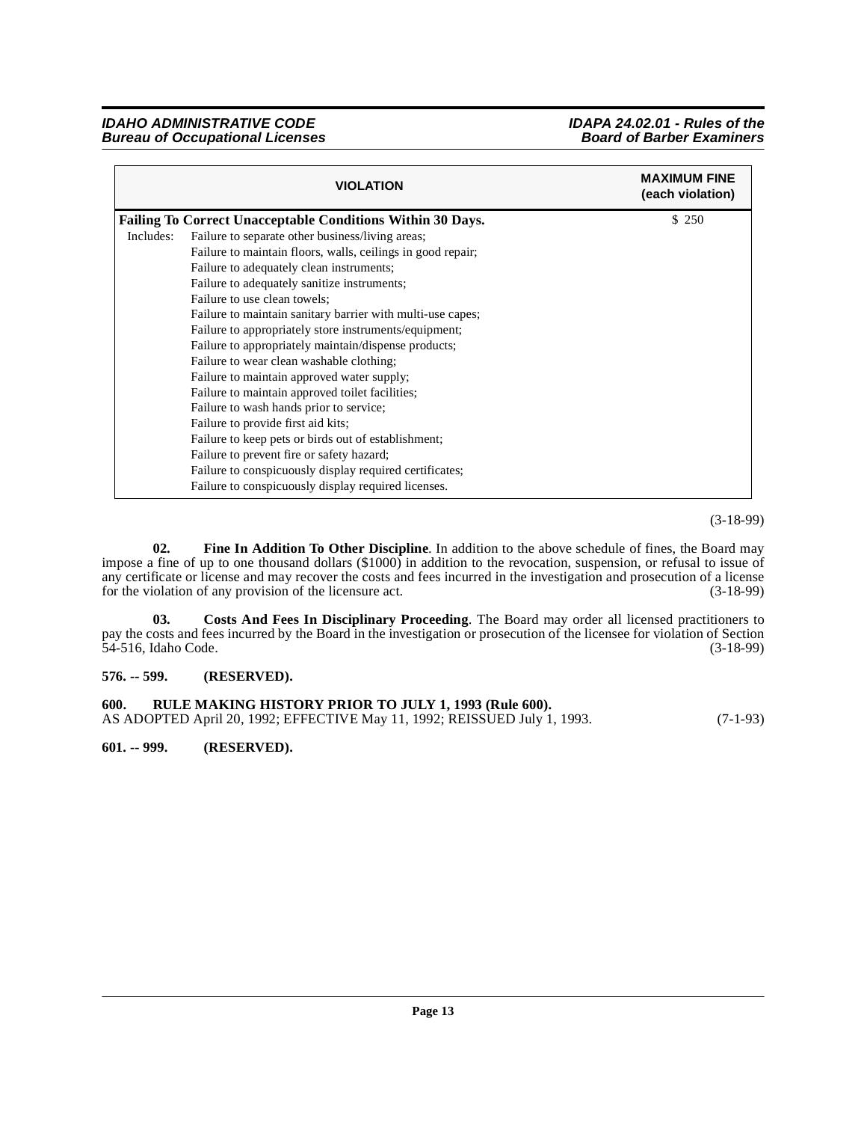|           | <b>VIOLATION</b>                                                  | <b>MAXIMUM FINE</b><br>(each violation) |
|-----------|-------------------------------------------------------------------|-----------------------------------------|
|           | <b>Failing To Correct Unacceptable Conditions Within 30 Days.</b> | \$ 250                                  |
| Includes: | Failure to separate other business/living areas;                  |                                         |
|           | Failure to maintain floors, walls, ceilings in good repair;       |                                         |
|           | Failure to adequately clean instruments;                          |                                         |
|           | Failure to adequately sanitize instruments;                       |                                         |
|           | Failure to use clean towels;                                      |                                         |
|           | Failure to maintain sanitary barrier with multi-use capes;        |                                         |
|           | Failure to appropriately store instruments/equipment;             |                                         |
|           | Failure to appropriately maintain/dispense products;              |                                         |
|           | Failure to wear clean washable clothing;                          |                                         |
|           | Failure to maintain approved water supply;                        |                                         |
|           | Failure to maintain approved toilet facilities;                   |                                         |
|           | Failure to wash hands prior to service;                           |                                         |
|           | Failure to provide first aid kits;                                |                                         |
|           | Failure to keep pets or birds out of establishment;               |                                         |
|           | Failure to prevent fire or safety hazard;                         |                                         |
|           | Failure to conspicuously display required certificates;           |                                         |
|           | Failure to conspicuously display required licenses.               |                                         |

(3-18-99)

<span id="page-12-4"></span>**02. Fine In Addition To Other Discipline**. In addition to the above schedule of fines, the Board may impose a fine of up to one thousand dollars (\$1000) in addition to the revocation, suspension, or refusal to issue of any certificate or license and may recover the costs and fees incurred in the investigation and prosecution of a license<br>for the violation of any provision of the licensure act. (3-18-99) for the violation of any provision of the licensure act.

<span id="page-12-3"></span>**03. Costs And Fees In Disciplinary Proceeding**. The Board may order all licensed practitioners to pay the costs and fees incurred by the Board in the investigation or prosecution of the licensee for violation of Section 54-516, Idaho Code. (3-18-99)

# <span id="page-12-0"></span>**576. -- 599. (RESERVED).**

<span id="page-12-1"></span>**600. RULE MAKING HISTORY PRIOR TO JULY 1, 1993 (Rule 600).** AS ADOPTED April 20, 1992; EFFECTIVE May 11, 1992; REISSUED July 1, 1993. (7-1-93)

<span id="page-12-2"></span>**601. -- 999. (RESERVED).**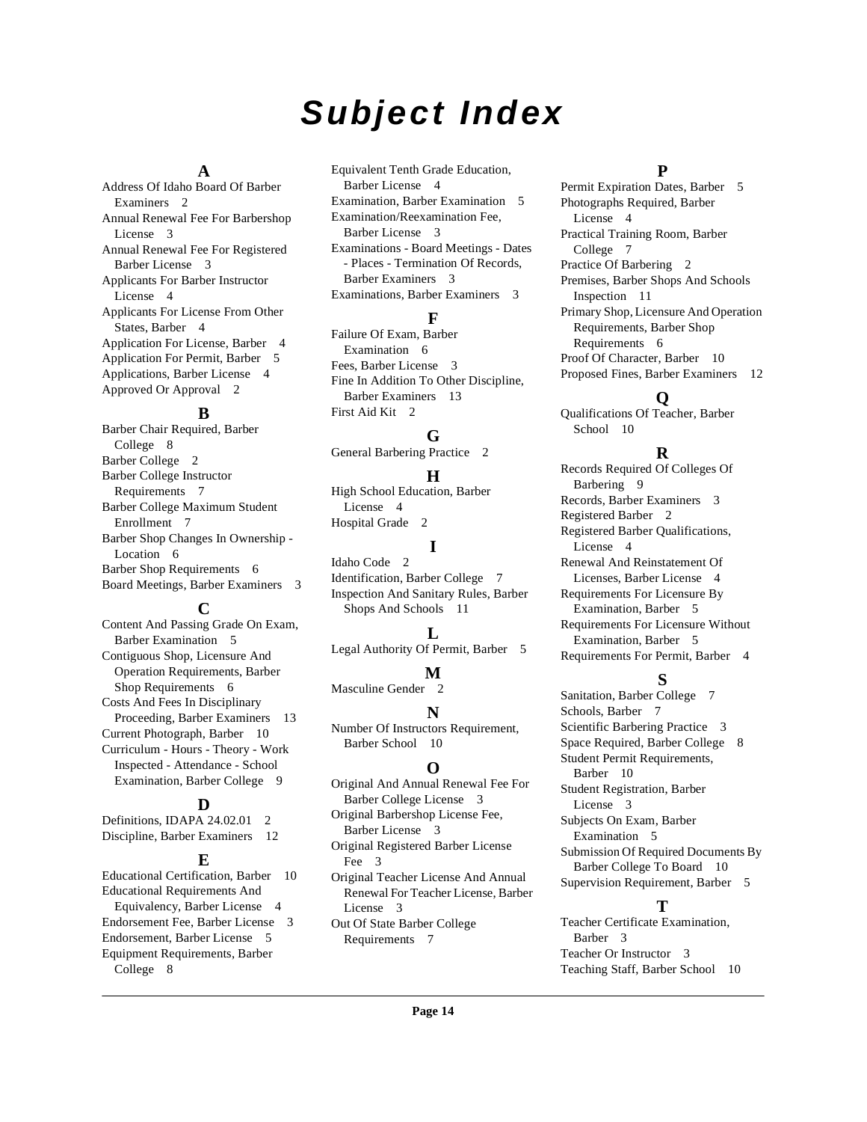# **Subject Index**

# **A**

Address Of Idaho Board Of Barber Examiners [2](#page-1-8) Annual Renewal Fee For Barbershop License [3](#page-2-4) Annual Renewal Fee For Registered Barber License [3](#page-2-5) Applicants For Barber Instructor License [4](#page-3-6) Applicants For License From Other States, Barber [4](#page-3-7) Application For License, Barber [4](#page-3-8) Application For Permit, Barber [5](#page-4-4) Applications, Barber License [4](#page-3-9) Approved Or Approval [2](#page-1-9)

# **B**

Barber Chair Required, Barber College [8](#page-7-0) Barber College [2](#page-1-10) Barber College Instructor Requirements [7](#page-6-2) Barber College Maximum Student Enrollment [7](#page-6-3) Barber Shop Changes In Ownership - Location [6](#page-5-2) Barber Shop Requirements [6](#page-5-3) Board Meetings, Barber Examiners [3](#page-2-6)

# **C**

Content And Passing Grade On Exam, Barber Examination [5](#page-4-5) Contiguous Shop, Licensure And Operation Requirements, Barber Shop Requirements [6](#page-5-4) Costs And Fees In Disciplinary Proceeding, Barber Examiners [13](#page-12-3) Current Photograph, Barber [10](#page-9-2) Curriculum - Hours - Theory - Work Inspected - Attendance - School Examination, Barber College [9](#page-8-0)

# **D**

Definitions, IDAPA 24.02.01 [2](#page-1-11) Discipline, Barber Examiners [12](#page-11-2)

#### **E**

Educational Certification, Barber [10](#page-9-3) Educational Requirements And Equivalency, Barber License [4](#page-3-10) Endorsement Fee, Barber License [3](#page-2-7) Endorsement, Barber License [5](#page-4-6) Equipment Requirements, Barber College [8](#page-7-1)

Equivalent Tenth Grade Education, Barber License [4](#page-3-11) Examination, Barber Examination [5](#page-4-7) Examination/Reexamination Fee, Barber License [3](#page-2-8) Examinations - Board Meetings - Dates - Places - Termination Of Records, Barber Examiners [3](#page-2-9) Examinations, Barber Examiners [3](#page-2-10)

# **F**

Failure Of Exam, Barber Examination [6](#page-5-5) Fees, Barber License [3](#page-2-11) Fine In Addition To Other Discipline, Barber Examiners [13](#page-12-4) First Aid Kit [2](#page-1-12)

# **G**

General Barbering Practice [2](#page-1-13)

# **H**

High School Education, Barber License [4](#page-3-12) Hospital Grade [2](#page-1-14)

# **I**

Idaho Code [2](#page-1-15) Identification, Barber College [7](#page-6-4) Inspection And Sanitary Rules, Barber Shops And Schools [11](#page-10-2)

# **L**

Legal Authority Of Permit, Barber [5](#page-4-8)

#### **M**

Masculine Gender [2](#page-1-16)

# **N**

Number Of Instructors Requirement, Barber School [10](#page-9-4)

# **O**

Original And Annual Renewal Fee For Barber College License [3](#page-2-12) Original Barbershop License Fee, Barber License [3](#page-2-13) Original Registered Barber License Fee [3](#page-2-14) Original Teacher License And Annual Renewal For Teacher License, Barber License [3](#page-2-15) Out Of State Barber College

Requirements [7](#page-6-5)

# **P**

Permit Expiration Dates, Barber [5](#page-4-9) Photographs Required, Barber License [4](#page-3-13) Practical Training Room, Barber College [7](#page-6-6) Practice Of Barbering [2](#page-1-17) Premises, Barber Shops And Schools Inspection [11](#page-10-3) Primary Shop, Licensure And Operation Requirements, Barber Shop Requirements [6](#page-5-6) Proof Of Character, Barber [10](#page-9-5) Proposed Fines, Barber Examiners [12](#page-11-3)

# **Q**

Qualifications Of Teacher, Barber School [10](#page-9-6)

# **R**

Records Required Of Colleges Of Barbering [9](#page-8-1) Records, Barber Examiners [3](#page-2-16) Registered Barber [2](#page-1-18) Registered Barber Qualifications, License [4](#page-3-14) Renewal And Reinstatement Of Licenses, Barber License [4](#page-3-15) Requirements For Licensure By Examination, Barber [5](#page-4-10) Requirements For Licensure Without Examination, Barber [5](#page-4-11) Requirements For Permit, Barber [4](#page-3-16)

# **S**

Sanitation, Barber College [7](#page-6-7) Schools, Barber [7](#page-6-8) Scientific Barbering Practice [3](#page-2-17) Space Required, Barber College [8](#page-7-2) Student Permit Requirements, Barber [10](#page-9-7) Student Registration, Barber License [3](#page-2-18) Subjects On Exam, Barber Examination [5](#page-4-12) Submission Of Required Documents By Barber College To Board [10](#page-9-8) Supervision Requirement, Barber [5](#page-4-13) **T**

Teacher Certificate Examination, Barber [3](#page-2-19) Teacher Or Instructor [3](#page-2-20) Teaching Staff, Barber School [10](#page-9-9)